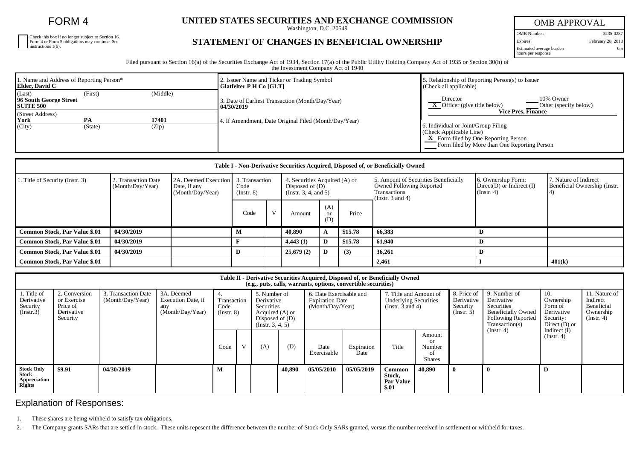FORM 4

Check this box if no longer subject to Section 16. Form 4 or Form 5 obligations may continue. See instructions 1(b).

## **UNITED STATES SECURITIES AND EXCHANGE COMMISSION**

Washington, D.C. 20549

## **STATEMENT OF CHANGES IN BENEFICIAL OWNERSHIP**

OMB APPROVAL OMB Number: 3235-0287 Expires: February 28, 2018 Estimated average burden hours per response 0.5

Filed pursuant to Section 16(a) of the Securities Exchange Act of 1934, Section 17(a) of the Public Utility Holding Company Act of 1935 or Section 30(h) of the Investment Company Act of 1940

| 1. Name and Address of Reporting Person*<br>Elder, David C |               |                | 2. Issuer Name and Ticker or Trading Symbol<br>  Glatfelter P H Co [GLT] | 5. Relationship of Reporting Person(s) to Issuer<br>(Check all applicable)                                                                                                           |  |  |  |  |
|------------------------------------------------------------|---------------|----------------|--------------------------------------------------------------------------|--------------------------------------------------------------------------------------------------------------------------------------------------------------------------------------|--|--|--|--|
| (Last)<br>96 South George Street<br><b>SUITE 500</b>       | (First)       | (Middle)       | 3. Date of Earliest Transaction (Month/Day/Year)<br>  04/30/2019         | 10% Owner<br>Director<br>$\bf{X}$ Officer (give title below)<br>Other (specify below)                                                                                                |  |  |  |  |
| (Street Address)<br>York<br>(City)                         | PA<br>(State) | 17401<br>(Zip) | 4. If Amendment, Date Original Filed (Month/Day/Year)                    | Vice Pres, Finance<br>6. Individual or Joint/Group Filing<br>$\vert$ (Check Applicable Line)<br>X Form filed by One Reporting Person<br>Form filed by More than One Reporting Person |  |  |  |  |

| Table I - Non-Derivative Securities Acquired, Disposed of, or Beneficially Owned |                                                                             |  |                                                                |                   |                                                                             |                             |         |                                                                                                                  |                                                                         |                                                       |  |  |
|----------------------------------------------------------------------------------|-----------------------------------------------------------------------------|--|----------------------------------------------------------------|-------------------|-----------------------------------------------------------------------------|-----------------------------|---------|------------------------------------------------------------------------------------------------------------------|-------------------------------------------------------------------------|-------------------------------------------------------|--|--|
| 1. Title of Security (Instr. 3)                                                  | 2. Transaction Date<br>(Month/Day/Year)<br>Date, if any<br>(Month/Day/Year) |  | 2A. Deemed Execution 3. Transaction<br>Code<br>$($ Instr. $8)$ |                   | 4. Securities Acquired (A) or<br>Disposed of $(D)$<br>(Insert. 3, 4, and 5) |                             |         | 5. Amount of Securities Beneficially<br><b>Owned Following Reported</b><br>Transactions<br>(Instr. $3$ and $4$ ) | 6. Ownership Form:<br>$Direct(D)$ or Indirect $(I)$<br>$($ Instr. 4 $)$ | 7. Nature of Indirect<br>Beneficial Ownership (Instr. |  |  |
|                                                                                  |                                                                             |  | Code                                                           | <b>X</b> <i>T</i> | Amount                                                                      | (A)<br><sub>or</sub><br>(D) | Price   |                                                                                                                  |                                                                         |                                                       |  |  |
| <b>Common Stock, Par Value \$.01</b>                                             | 04/30/2019                                                                  |  | M                                                              |                   | 40,890                                                                      | $\mathbf{A}$                | \$15.78 | 66,383                                                                                                           | D                                                                       |                                                       |  |  |
| <b>Common Stock, Par Value \$.01</b>                                             | 04/30/2019                                                                  |  |                                                                |                   | 4,443(1)                                                                    | D                           | \$15.78 | 61.940                                                                                                           | D                                                                       |                                                       |  |  |
| <b>Common Stock, Par Value \$.01</b>                                             | 04/30/2019                                                                  |  | D                                                              |                   | 25,679(2)                                                                   | D                           | (3)     | 36,261                                                                                                           | D                                                                       |                                                       |  |  |
| <b>Common Stock, Par Value \$.01</b>                                             |                                                                             |  |                                                                |                   |                                                                             |                             |         | 2,461                                                                                                            |                                                                         | 401(k)                                                |  |  |

| Table II - Derivative Securities Acquired, Disposed of, or Beneficially Owned<br>(e.g., puts, calls, warrants, options, convertible securities) |                                                                    |                                         |                                                             |                                         |              |                                                                                                             |        |                                                                       |                    |                                                                                 |                                                      |                                                      |                                                                                                                      |                                                                           |                                                                          |
|-------------------------------------------------------------------------------------------------------------------------------------------------|--------------------------------------------------------------------|-----------------------------------------|-------------------------------------------------------------|-----------------------------------------|--------------|-------------------------------------------------------------------------------------------------------------|--------|-----------------------------------------------------------------------|--------------------|---------------------------------------------------------------------------------|------------------------------------------------------|------------------------------------------------------|----------------------------------------------------------------------------------------------------------------------|---------------------------------------------------------------------------|--------------------------------------------------------------------------|
| . Title of<br>Derivative<br>Security<br>(Insert.3)                                                                                              | 2. Conversion<br>or Exercise<br>Price of<br>Derivative<br>Security | 3. Transaction Date<br>(Month/Day/Year) | 3A. Deemed<br>Execution Date, if<br>any<br>(Month/Day/Year) | 4.<br>Transaction<br>Code<br>(Insert 8) |              | 5. Number of<br>Derivative<br><b>Securities</b><br>Acquired (A) or<br>Disposed of $(D)$<br>(Instr. 3, 4, 5) |        | 6. Date Exercisable and<br><b>Expiration Date</b><br>(Month/Day/Year) |                    | 7. Title and Amount of<br><b>Underlying Securities</b><br>(Instr. $3$ and $4$ ) |                                                      | 8. Price of<br>Derivative<br>Security<br>(Insert. 5) | 9. Number of<br>Derivative<br>Securities<br><b>Beneficially Owned</b><br><b>Following Reported</b><br>Transaction(s) | 10.<br>Ownership<br>Form of<br>Derivative<br>Security:<br>Direct $(D)$ or | 11. Nature of<br>Indirect<br>Beneficial<br>Ownership<br>$($ Instr. 4 $)$ |
|                                                                                                                                                 |                                                                    |                                         |                                                             | Code                                    | $\mathbf{V}$ | (A)                                                                                                         | (D)    | Date<br>Exercisable                                                   | Expiration<br>Date | Title                                                                           | Amount<br><b>or</b><br>Number<br>οf<br><b>Shares</b> |                                                      | (Instr. 4)                                                                                                           | Indirect $(I)$<br>$($ Instr. 4 $)$                                        |                                                                          |
| <b>Stock Only</b><br>Stock<br>Appreciation<br><b>Rights</b>                                                                                     | \$9.91                                                             | 04/30/2019                              |                                                             |                                         |              |                                                                                                             | 40.890 | 05/05/2010                                                            | 05/05/2019         | Common<br>Stock,<br><b>Par Value</b><br>\$.01                                   | 40,890                                               |                                                      |                                                                                                                      | D                                                                         |                                                                          |

## Explanation of Responses:

1. These shares are being withheld to satisfy tax obligations.

2. The Company grants SARs that are settled in stock. These units repesent the difference between the number of Stock-Only SARs granted, versus the number received in settlement or withheld for taxes.